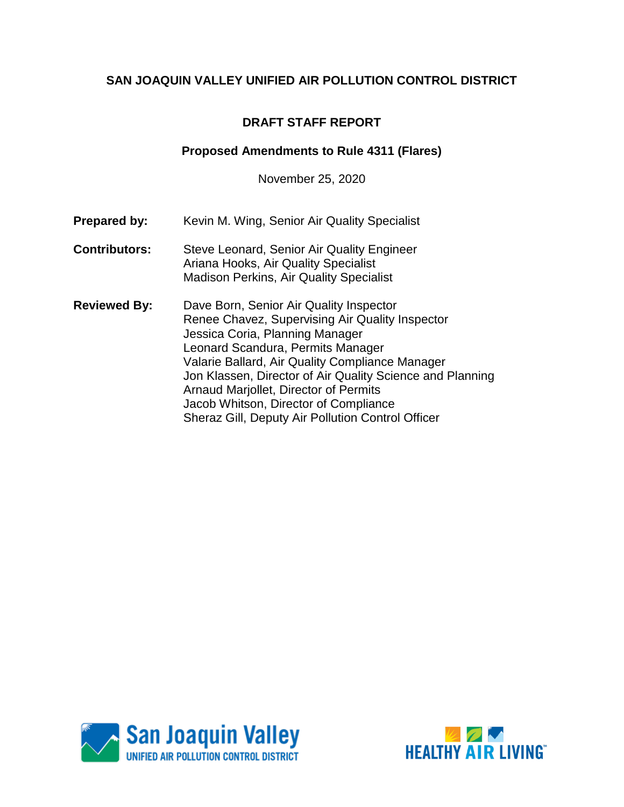# **DRAFT STAFF REPORT**

## **Proposed Amendments to Rule 4311 (Flares)**

November 25, 2020

- **Prepared by:** Kevin M. Wing, Senior Air Quality Specialist
- **Contributors:** Steve Leonard, Senior Air Quality Engineer Ariana Hooks, Air Quality Specialist Madison Perkins, Air Quality Specialist
- **Reviewed By:** Dave Born, Senior Air Quality Inspector Renee Chavez, Supervising Air Quality Inspector Jessica Coria, Planning Manager Leonard Scandura, Permits Manager Valarie Ballard, Air Quality Compliance Manager Jon Klassen, Director of Air Quality Science and Planning Arnaud Marjollet, Director of Permits Jacob Whitson, Director of Compliance Sheraz Gill, Deputy Air Pollution Control Officer



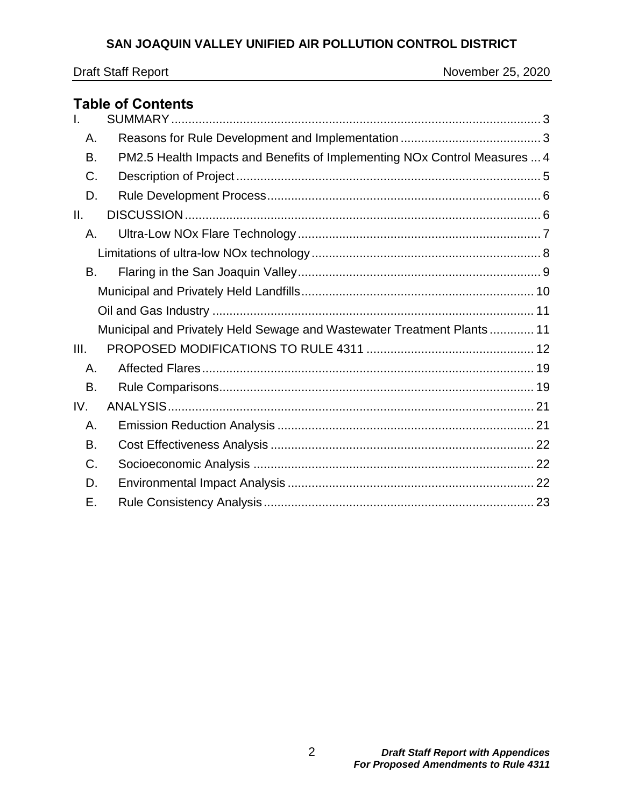# **Table of Contents**

| $\mathsf{L}$ |                                                                           |  |
|--------------|---------------------------------------------------------------------------|--|
| Α.           |                                                                           |  |
| <b>B.</b>    | PM2.5 Health Impacts and Benefits of Implementing NOx Control Measures  4 |  |
| C.           |                                                                           |  |
| D.           |                                                                           |  |
| II.          |                                                                           |  |
| А.           |                                                                           |  |
|              |                                                                           |  |
| B.           |                                                                           |  |
|              |                                                                           |  |
|              |                                                                           |  |
|              | Municipal and Privately Held Sewage and Wastewater Treatment Plants 11    |  |
| III.         |                                                                           |  |
| Α.           |                                                                           |  |
| B.           |                                                                           |  |
| IV.          |                                                                           |  |
| Α.           |                                                                           |  |
| B.           |                                                                           |  |
| C.           |                                                                           |  |
| D.           |                                                                           |  |
| Е.           |                                                                           |  |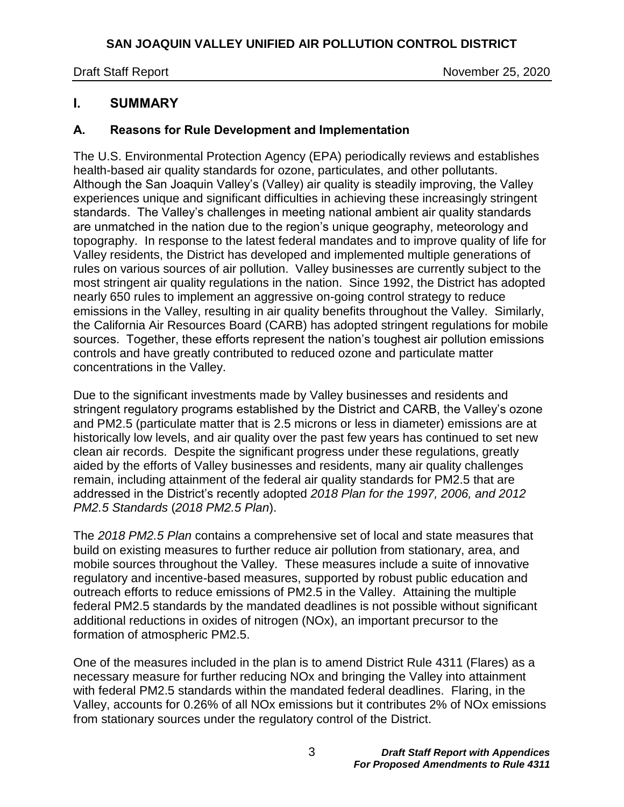Draft Staff Report November 25, 2020

# <span id="page-2-0"></span>**I. SUMMARY**

# <span id="page-2-1"></span>**A. Reasons for Rule Development and Implementation**

The U.S. Environmental Protection Agency (EPA) periodically reviews and establishes health-based air quality standards for ozone, particulates, and other pollutants. Although the San Joaquin Valley's (Valley) air quality is steadily improving, the Valley experiences unique and significant difficulties in achieving these increasingly stringent standards. The Valley's challenges in meeting national ambient air quality standards are unmatched in the nation due to the region's unique geography, meteorology and topography. In response to the latest federal mandates and to improve quality of life for Valley residents, the District has developed and implemented multiple generations of rules on various sources of air pollution. Valley businesses are currently subject to the most stringent air quality regulations in the nation. Since 1992, the District has adopted nearly 650 rules to implement an aggressive on-going control strategy to reduce emissions in the Valley, resulting in air quality benefits throughout the Valley. Similarly, the California Air Resources Board (CARB) has adopted stringent regulations for mobile sources. Together, these efforts represent the nation's toughest air pollution emissions controls and have greatly contributed to reduced ozone and particulate matter concentrations in the Valley.

Due to the significant investments made by Valley businesses and residents and stringent regulatory programs established by the District and CARB, the Valley's ozone and PM2.5 (particulate matter that is 2.5 microns or less in diameter) emissions are at historically low levels, and air quality over the past few years has continued to set new clean air records. Despite the significant progress under these regulations, greatly aided by the efforts of Valley businesses and residents, many air quality challenges remain, including attainment of the federal air quality standards for PM2.5 that are addressed in the District's recently adopted *2018 Plan for the 1997, 2006, and 2012 PM2.5 Standards* (*2018 PM2.5 Plan*).

The *2018 PM2.5 Plan* contains a comprehensive set of local and state measures that build on existing measures to further reduce air pollution from stationary, area, and mobile sources throughout the Valley. These measures include a suite of innovative regulatory and incentive-based measures, supported by robust public education and outreach efforts to reduce emissions of PM2.5 in the Valley. Attaining the multiple federal PM2.5 standards by the mandated deadlines is not possible without significant additional reductions in oxides of nitrogen (NOx), an important precursor to the formation of atmospheric PM2.5.

One of the measures included in the plan is to amend District Rule 4311 (Flares) as a necessary measure for further reducing NOx and bringing the Valley into attainment with federal PM2.5 standards within the mandated federal deadlines. Flaring, in the Valley, accounts for 0.26% of all NOx emissions but it contributes 2% of NOx emissions from stationary sources under the regulatory control of the District.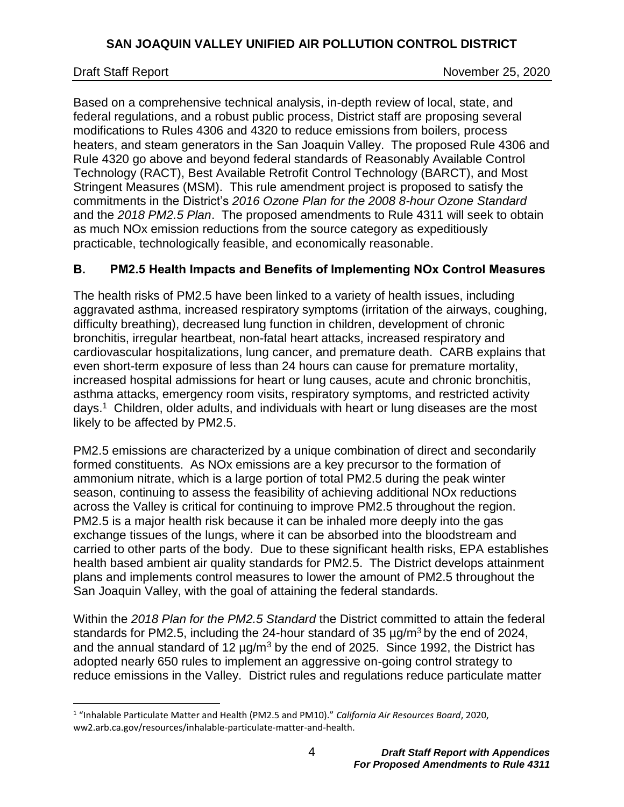$\overline{a}$ 

Draft Staff Report November 25, 2020

Based on a comprehensive technical analysis, in-depth review of local, state, and federal regulations, and a robust public process, District staff are proposing several modifications to Rules 4306 and 4320 to reduce emissions from boilers, process heaters, and steam generators in the San Joaquin Valley. The proposed Rule 4306 and Rule 4320 go above and beyond federal standards of Reasonably Available Control Technology (RACT), Best Available Retrofit Control Technology (BARCT), and Most Stringent Measures (MSM). This rule amendment project is proposed to satisfy the commitments in the District's *2016 Ozone Plan for the 2008 8-hour Ozone Standard* and the *2018 PM2.5 Plan*. The proposed amendments to Rule 4311 will seek to obtain as much NOx emission reductions from the source category as expeditiously practicable, technologically feasible, and economically reasonable.

## <span id="page-3-0"></span>**B. PM2.5 Health Impacts and Benefits of Implementing NOx Control Measures**

The health risks of PM2.5 have been linked to a variety of health issues, including aggravated asthma, increased respiratory symptoms (irritation of the airways, coughing, difficulty breathing), decreased lung function in children, development of chronic bronchitis, irregular heartbeat, non-fatal heart attacks, increased respiratory and cardiovascular hospitalizations, lung cancer, and premature death. CARB explains that even short-term exposure of less than 24 hours can cause for premature mortality, increased hospital admissions for heart or lung causes, acute and chronic bronchitis, asthma attacks, emergency room visits, respiratory symptoms, and restricted activity days.<sup>1</sup> Children, older adults, and individuals with heart or lung diseases are the most likely to be affected by PM2.5.

PM2.5 emissions are characterized by a unique combination of direct and secondarily formed constituents. As NOx emissions are a key precursor to the formation of ammonium nitrate, which is a large portion of total PM2.5 during the peak winter season, continuing to assess the feasibility of achieving additional NOx reductions across the Valley is critical for continuing to improve PM2.5 throughout the region. PM2.5 is a major health risk because it can be inhaled more deeply into the gas exchange tissues of the lungs, where it can be absorbed into the bloodstream and carried to other parts of the body. Due to these significant health risks, EPA establishes health based ambient air quality standards for PM2.5. The District develops attainment plans and implements control measures to lower the amount of PM2.5 throughout the San Joaquin Valley, with the goal of attaining the federal standards.

Within the *2018 Plan for the PM2.5 Standard* the District committed to attain the federal standards for PM2.5, including the 24-hour standard of 35  $\mu$ g/m<sup>3</sup> by the end of 2024, and the annual standard of 12  $\mu$ g/m<sup>3</sup> by the end of 2025. Since 1992, the District has adopted nearly 650 rules to implement an aggressive on-going control strategy to reduce emissions in the Valley. District rules and regulations reduce particulate matter

<sup>1</sup> "Inhalable Particulate Matter and Health (PM2.5 and PM10)." *California Air Resources Board*, 2020, ww2.arb.ca.gov/resources/inhalable-particulate-matter-and-health.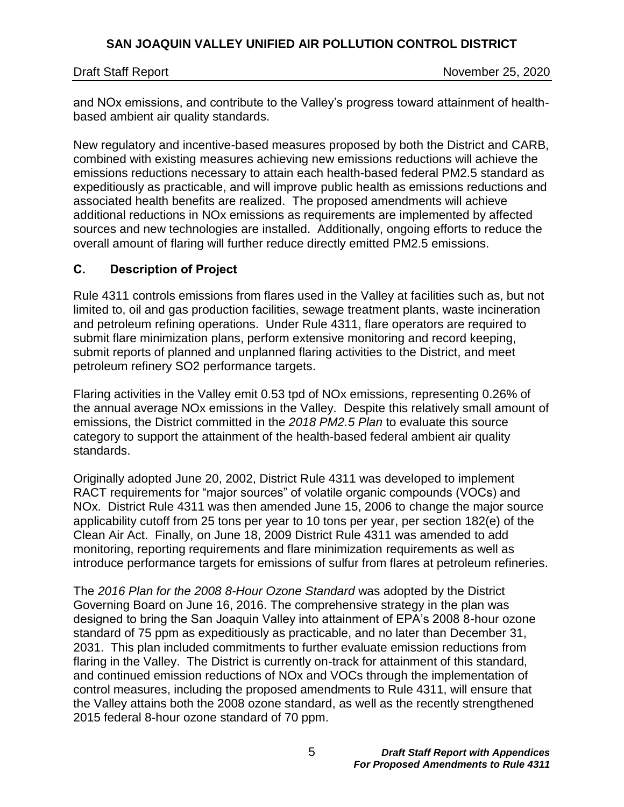Draft Staff Report November 25, 2020

and NOx emissions, and contribute to the Valley's progress toward attainment of healthbased ambient air quality standards.

New regulatory and incentive-based measures proposed by both the District and CARB, combined with existing measures achieving new emissions reductions will achieve the emissions reductions necessary to attain each health-based federal PM2.5 standard as expeditiously as practicable, and will improve public health as emissions reductions and associated health benefits are realized. The proposed amendments will achieve additional reductions in NOx emissions as requirements are implemented by affected sources and new technologies are installed. Additionally, ongoing efforts to reduce the overall amount of flaring will further reduce directly emitted PM2.5 emissions.

# <span id="page-4-0"></span>**C. Description of Project**

Rule 4311 controls emissions from flares used in the Valley at facilities such as, but not limited to, oil and gas production facilities, sewage treatment plants, waste incineration and petroleum refining operations. Under Rule 4311, flare operators are required to submit flare minimization plans, perform extensive monitoring and record keeping, submit reports of planned and unplanned flaring activities to the District, and meet petroleum refinery SO2 performance targets.

Flaring activities in the Valley emit 0.53 tpd of NOx emissions, representing 0.26% of the annual average NOx emissions in the Valley. Despite this relatively small amount of emissions, the District committed in the *2018 PM2.5 Plan* to evaluate this source category to support the attainment of the health-based federal ambient air quality standards.

Originally adopted June 20, 2002, District Rule 4311 was developed to implement RACT requirements for "major sources" of volatile organic compounds (VOCs) and NOx. District Rule 4311 was then amended June 15, 2006 to change the major source applicability cutoff from 25 tons per year to 10 tons per year, per section 182(e) of the Clean Air Act. Finally, on June 18, 2009 District Rule 4311 was amended to add monitoring, reporting requirements and flare minimization requirements as well as introduce performance targets for emissions of sulfur from flares at petroleum refineries.

The *2016 Plan for the 2008 8-Hour Ozone Standard* was adopted by the District Governing Board on June 16, 2016. The comprehensive strategy in the plan was designed to bring the San Joaquin Valley into attainment of EPA's 2008 8-hour ozone standard of 75 ppm as expeditiously as practicable, and no later than December 31, 2031. This plan included commitments to further evaluate emission reductions from flaring in the Valley. The District is currently on-track for attainment of this standard, and continued emission reductions of NOx and VOCs through the implementation of control measures, including the proposed amendments to Rule 4311, will ensure that the Valley attains both the 2008 ozone standard, as well as the recently strengthened 2015 federal 8-hour ozone standard of 70 ppm.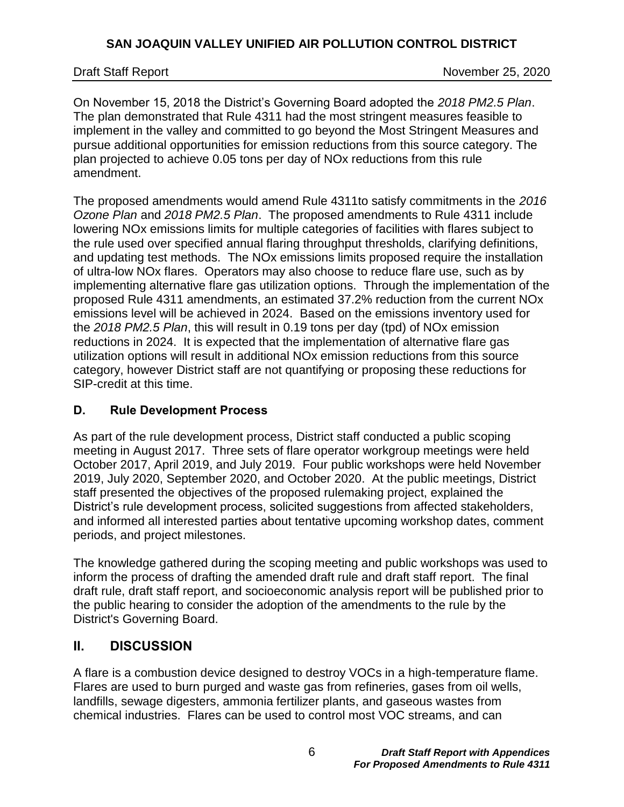Draft Staff Report November 25, 2020

On November 15, 2018 the District's Governing Board adopted the *2018 PM2.5 Plan*. The plan demonstrated that Rule 4311 had the most stringent measures feasible to implement in the valley and committed to go beyond the Most Stringent Measures and pursue additional opportunities for emission reductions from this source category. The plan projected to achieve 0.05 tons per day of NOx reductions from this rule amendment.

The proposed amendments would amend Rule 4311to satisfy commitments in the *2016 Ozone Plan* and *2018 PM2.5 Plan*. The proposed amendments to Rule 4311 include lowering NOx emissions limits for multiple categories of facilities with flares subject to the rule used over specified annual flaring throughput thresholds, clarifying definitions, and updating test methods. The NOx emissions limits proposed require the installation of ultra-low NOx flares. Operators may also choose to reduce flare use, such as by implementing alternative flare gas utilization options. Through the implementation of the proposed Rule 4311 amendments, an estimated 37.2% reduction from the current NOx emissions level will be achieved in 2024. Based on the emissions inventory used for the *2018 PM2.5 Plan*, this will result in 0.19 tons per day (tpd) of NOx emission reductions in 2024. It is expected that the implementation of alternative flare gas utilization options will result in additional NOx emission reductions from this source category, however District staff are not quantifying or proposing these reductions for SIP-credit at this time.

## <span id="page-5-0"></span>**D. Rule Development Process**

As part of the rule development process, District staff conducted a public scoping meeting in August 2017. Three sets of flare operator workgroup meetings were held October 2017, April 2019, and July 2019. Four public workshops were held November 2019, July 2020, September 2020, and October 2020. At the public meetings, District staff presented the objectives of the proposed rulemaking project, explained the District's rule development process, solicited suggestions from affected stakeholders, and informed all interested parties about tentative upcoming workshop dates, comment periods, and project milestones.

The knowledge gathered during the scoping meeting and public workshops was used to inform the process of drafting the amended draft rule and draft staff report. The final draft rule, draft staff report, and socioeconomic analysis report will be published prior to the public hearing to consider the adoption of the amendments to the rule by the District's Governing Board.

# <span id="page-5-1"></span>**II. DISCUSSION**

A flare is a combustion device designed to destroy VOCs in a high-temperature flame. Flares are used to burn purged and waste gas from refineries, gases from oil wells, landfills, sewage digesters, ammonia fertilizer plants, and gaseous wastes from chemical industries. Flares can be used to control most VOC streams, and can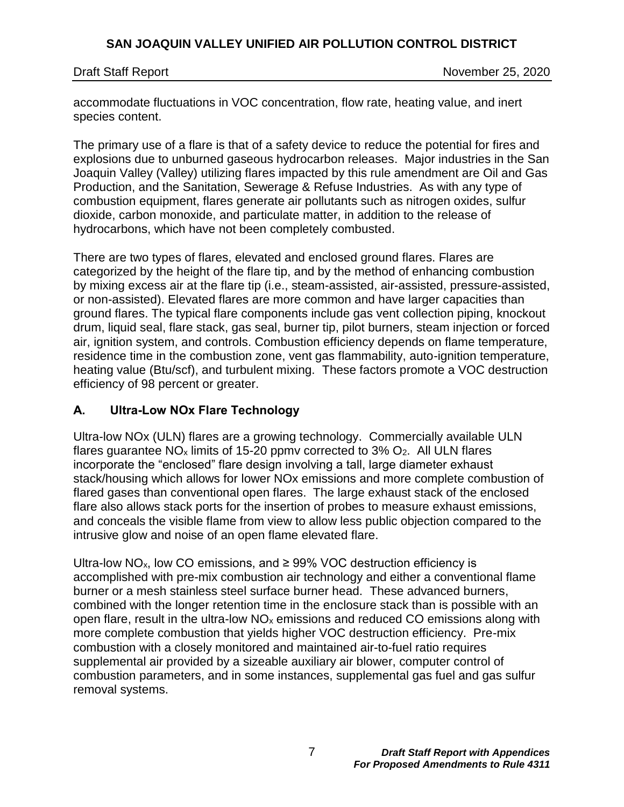Draft Staff Report November 25, 2020

accommodate fluctuations in VOC concentration, flow rate, heating value, and inert species content.

The primary use of a flare is that of a safety device to reduce the potential for fires and explosions due to unburned gaseous hydrocarbon releases. Major industries in the San Joaquin Valley (Valley) utilizing flares impacted by this rule amendment are Oil and Gas Production, and the Sanitation, Sewerage & Refuse Industries. As with any type of combustion equipment, flares generate air pollutants such as nitrogen oxides, sulfur dioxide, carbon monoxide, and particulate matter, in addition to the release of hydrocarbons, which have not been completely combusted.

There are two types of flares, elevated and enclosed ground flares. Flares are categorized by the height of the flare tip, and by the method of enhancing combustion by mixing excess air at the flare tip (i.e., steam-assisted, air-assisted, pressure-assisted, or non-assisted). Elevated flares are more common and have larger capacities than ground flares. The typical flare components include gas vent collection piping, knockout drum, liquid seal, flare stack, gas seal, burner tip, pilot burners, steam injection or forced air, ignition system, and controls. Combustion efficiency depends on flame temperature, residence time in the combustion zone, vent gas flammability, auto-ignition temperature, heating value (Btu/scf), and turbulent mixing. These factors promote a VOC destruction efficiency of 98 percent or greater.

## <span id="page-6-0"></span>**A. Ultra-Low NOx Flare Technology**

Ultra-low NOx (ULN) flares are a growing technology. Commercially available ULN flares guarantee  $NO_x$  limits of 15-20 ppmv corrected to 3%  $O_2$ . All ULN flares incorporate the "enclosed" flare design involving a tall, large diameter exhaust stack/housing which allows for lower NOx emissions and more complete combustion of flared gases than conventional open flares. The large exhaust stack of the enclosed flare also allows stack ports for the insertion of probes to measure exhaust emissions, and conceals the visible flame from view to allow less public objection compared to the intrusive glow and noise of an open flame elevated flare.

Ultra-low NO<sub>x</sub>, low CO emissions, and  $\geq$  99% VOC destruction efficiency is accomplished with pre-mix combustion air technology and either a conventional flame burner or a mesh stainless steel surface burner head. These advanced burners, combined with the longer retention time in the enclosure stack than is possible with an open flare, result in the ultra-low  $NO<sub>x</sub>$  emissions and reduced CO emissions along with more complete combustion that yields higher VOC destruction efficiency. Pre-mix combustion with a closely monitored and maintained air-to-fuel ratio requires supplemental air provided by a sizeable auxiliary air blower, computer control of combustion parameters, and in some instances, supplemental gas fuel and gas sulfur removal systems.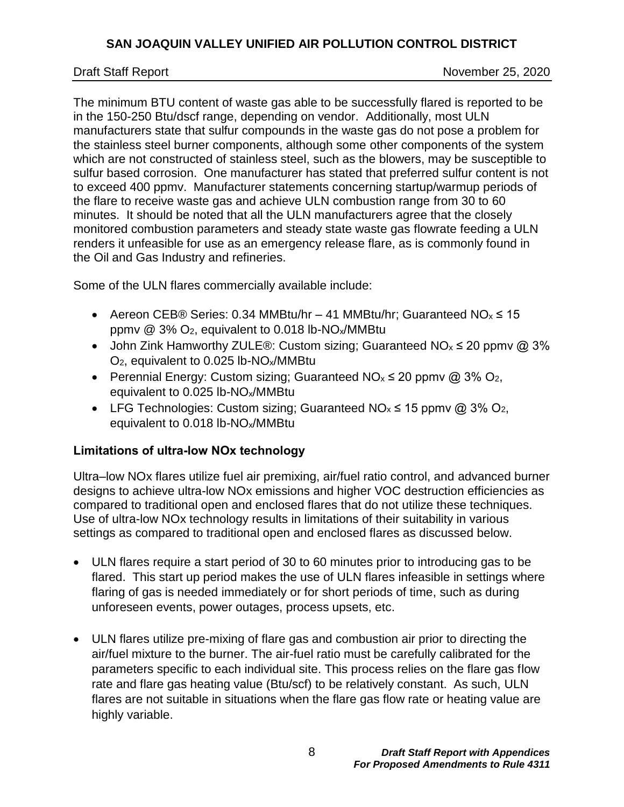Draft Staff Report November 25, 2020

The minimum BTU content of waste gas able to be successfully flared is reported to be in the 150-250 Btu/dscf range, depending on vendor. Additionally, most ULN manufacturers state that sulfur compounds in the waste gas do not pose a problem for the stainless steel burner components, although some other components of the system which are not constructed of stainless steel, such as the blowers, may be susceptible to sulfur based corrosion. One manufacturer has stated that preferred sulfur content is not to exceed 400 ppmv. Manufacturer statements concerning startup/warmup periods of the flare to receive waste gas and achieve ULN combustion range from 30 to 60 minutes. It should be noted that all the ULN manufacturers agree that the closely monitored combustion parameters and steady state waste gas flowrate feeding a ULN renders it unfeasible for use as an emergency release flare, as is commonly found in the Oil and Gas Industry and refineries.

Some of the ULN flares commercially available include:

- Aereon CEB® Series: 0.34 MMBtu/hr 41 MMBtu/hr; Guaranteed  $NO_x \le 15$ ppmv  $\omega$  3% O<sub>2</sub>, equivalent to 0.018 lb-NO<sub>x</sub>/MMBtu
- John Zink Hamworthy ZULE<sup>®</sup>: Custom sizing; Guaranteed NO<sub>x</sub>  $\leq$  20 ppmv @ 3% O2, equivalent to 0.025 lb-NOx/MMBtu
- Perennial Energy: Custom sizing; Guaranteed  $NO_x \le 20$  ppmv @ 3%  $O_2$ , equivalent to 0.025 lb-NOx/MMBtu
- LFG Technologies: Custom sizing; Guaranteed  $NO_x \le 15$  ppmv @ 3%  $O_2$ , equivalent to 0.018 lb-NOx/MMBtu

## <span id="page-7-0"></span>**Limitations of ultra-low NOx technology**

Ultra–low NOx flares utilize fuel air premixing, air/fuel ratio control, and advanced burner designs to achieve ultra-low NOx emissions and higher VOC destruction efficiencies as compared to traditional open and enclosed flares that do not utilize these techniques. Use of ultra-low NOx technology results in limitations of their suitability in various settings as compared to traditional open and enclosed flares as discussed below.

- ULN flares require a start period of 30 to 60 minutes prior to introducing gas to be flared. This start up period makes the use of ULN flares infeasible in settings where flaring of gas is needed immediately or for short periods of time, such as during unforeseen events, power outages, process upsets, etc.
- ULN flares utilize pre-mixing of flare gas and combustion air prior to directing the air/fuel mixture to the burner. The air-fuel ratio must be carefully calibrated for the parameters specific to each individual site. This process relies on the flare gas flow rate and flare gas heating value (Btu/scf) to be relatively constant. As such, ULN flares are not suitable in situations when the flare gas flow rate or heating value are highly variable.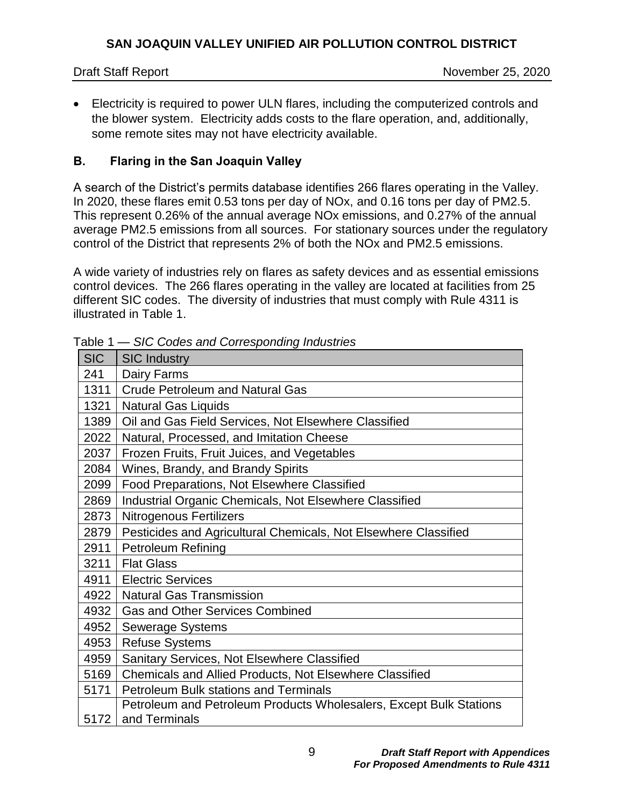Electricity is required to power ULN flares, including the computerized controls and the blower system. Electricity adds costs to the flare operation, and, additionally, some remote sites may not have electricity available.

## <span id="page-8-0"></span>**B. Flaring in the San Joaquin Valley**

A search of the District's permits database identifies 266 flares operating in the Valley. In 2020, these flares emit 0.53 tons per day of NOx, and 0.16 tons per day of PM2.5. This represent 0.26% of the annual average NOx emissions, and 0.27% of the annual average PM2.5 emissions from all sources. For stationary sources under the regulatory control of the District that represents 2% of both the NOx and PM2.5 emissions.

A wide variety of industries rely on flares as safety devices and as essential emissions control devices. The 266 flares operating in the valley are located at facilities from 25 different SIC codes. The diversity of industries that must comply with Rule 4311 is illustrated in [Table](#page-8-1) 1.

| <b>SIC</b> | <b>SIC Industry</b>                                                                 |
|------------|-------------------------------------------------------------------------------------|
| 241        | Dairy Farms                                                                         |
| 1311       | <b>Crude Petroleum and Natural Gas</b>                                              |
| 1321       | <b>Natural Gas Liquids</b>                                                          |
| 1389       | Oil and Gas Field Services, Not Elsewhere Classified                                |
| 2022       | Natural, Processed, and Imitation Cheese                                            |
| 2037       | Frozen Fruits, Fruit Juices, and Vegetables                                         |
| 2084       | Wines, Brandy, and Brandy Spirits                                                   |
| 2099       | Food Preparations, Not Elsewhere Classified                                         |
| 2869       | Industrial Organic Chemicals, Not Elsewhere Classified                              |
| 2873       | <b>Nitrogenous Fertilizers</b>                                                      |
| 2879       | Pesticides and Agricultural Chemicals, Not Elsewhere Classified                     |
| 2911       | <b>Petroleum Refining</b>                                                           |
| 3211       | <b>Flat Glass</b>                                                                   |
| 4911       | <b>Electric Services</b>                                                            |
| 4922       | <b>Natural Gas Transmission</b>                                                     |
| 4932       | <b>Gas and Other Services Combined</b>                                              |
| 4952       | <b>Sewerage Systems</b>                                                             |
| 4953       | <b>Refuse Systems</b>                                                               |
| 4959       | Sanitary Services, Not Elsewhere Classified                                         |
| 5169       | Chemicals and Allied Products, Not Elsewhere Classified                             |
| 5171       | <b>Petroleum Bulk stations and Terminals</b>                                        |
| 5172       | Petroleum and Petroleum Products Wholesalers, Except Bulk Stations<br>and Terminals |

<span id="page-8-1"></span>Table 1 *— SIC Codes and Corresponding Industries*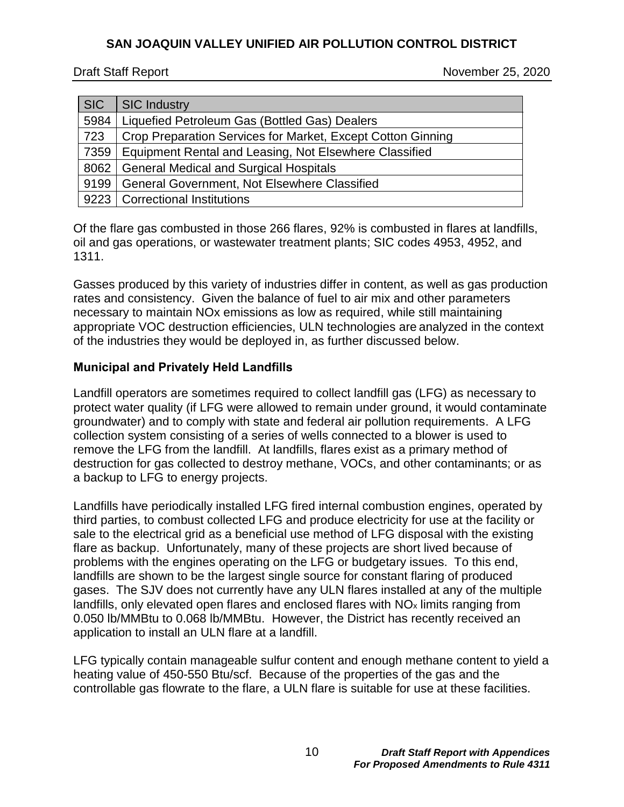Draft Staff Report November 25, 2020

| <b>SIC</b> | SIC Industry                                                |
|------------|-------------------------------------------------------------|
| 5984       | Liquefied Petroleum Gas (Bottled Gas) Dealers               |
| 723        | Crop Preparation Services for Market, Except Cotton Ginning |
| 7359       | Equipment Rental and Leasing, Not Elsewhere Classified      |
| 8062       | <b>General Medical and Surgical Hospitals</b>               |
| 9199       | General Government, Not Elsewhere Classified                |
| 9223       | <b>Correctional Institutions</b>                            |

Of the flare gas combusted in those 266 flares, 92% is combusted in flares at landfills, oil and gas operations, or wastewater treatment plants; SIC codes 4953, 4952, and 1311.

Gasses produced by this variety of industries differ in content, as well as gas production rates and consistency. Given the balance of fuel to air mix and other parameters necessary to maintain NOx emissions as low as required, while still maintaining appropriate VOC destruction efficiencies, ULN technologies are analyzed in the context of the industries they would be deployed in, as further discussed below.

### <span id="page-9-0"></span>**Municipal and Privately Held Landfills**

Landfill operators are sometimes required to collect landfill gas (LFG) as necessary to protect water quality (if LFG were allowed to remain under ground, it would contaminate groundwater) and to comply with state and federal air pollution requirements. A LFG collection system consisting of a series of wells connected to a blower is used to remove the LFG from the landfill. At landfills, flares exist as a primary method of destruction for gas collected to destroy methane, VOCs, and other contaminants; or as a backup to LFG to energy projects.

Landfills have periodically installed LFG fired internal combustion engines, operated by third parties, to combust collected LFG and produce electricity for use at the facility or sale to the electrical grid as a beneficial use method of LFG disposal with the existing flare as backup. Unfortunately, many of these projects are short lived because of problems with the engines operating on the LFG or budgetary issues. To this end, landfills are shown to be the largest single source for constant flaring of produced gases. The SJV does not currently have any ULN flares installed at any of the multiple landfills, only elevated open flares and enclosed flares with  $NO<sub>x</sub>$  limits ranging from 0.050 lb/MMBtu to 0.068 lb/MMBtu. However, the District has recently received an application to install an ULN flare at a landfill.

LFG typically contain manageable sulfur content and enough methane content to yield a heating value of 450-550 Btu/scf. Because of the properties of the gas and the controllable gas flowrate to the flare, a ULN flare is suitable for use at these facilities.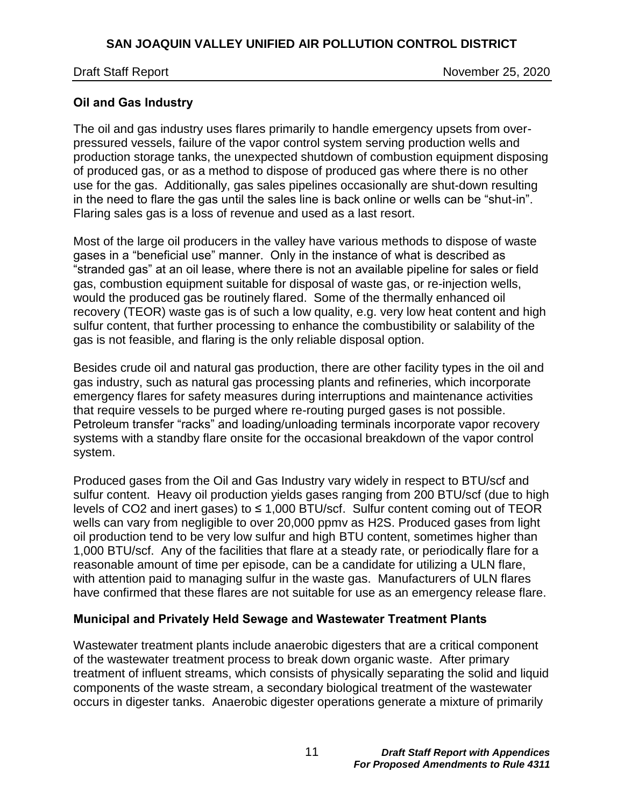Draft Staff Report November 25, 2020

## <span id="page-10-0"></span>**Oil and Gas Industry**

The oil and gas industry uses flares primarily to handle emergency upsets from overpressured vessels, failure of the vapor control system serving production wells and production storage tanks, the unexpected shutdown of combustion equipment disposing of produced gas, or as a method to dispose of produced gas where there is no other use for the gas. Additionally, gas sales pipelines occasionally are shut-down resulting in the need to flare the gas until the sales line is back online or wells can be "shut-in". Flaring sales gas is a loss of revenue and used as a last resort.

Most of the large oil producers in the valley have various methods to dispose of waste gases in a "beneficial use" manner. Only in the instance of what is described as "stranded gas" at an oil lease, where there is not an available pipeline for sales or field gas, combustion equipment suitable for disposal of waste gas, or re-injection wells, would the produced gas be routinely flared. Some of the thermally enhanced oil recovery (TEOR) waste gas is of such a low quality, e.g. very low heat content and high sulfur content, that further processing to enhance the combustibility or salability of the gas is not feasible, and flaring is the only reliable disposal option.

Besides crude oil and natural gas production, there are other facility types in the oil and gas industry, such as natural gas processing plants and refineries, which incorporate emergency flares for safety measures during interruptions and maintenance activities that require vessels to be purged where re-routing purged gases is not possible. Petroleum transfer "racks" and loading/unloading terminals incorporate vapor recovery systems with a standby flare onsite for the occasional breakdown of the vapor control system.

Produced gases from the Oil and Gas Industry vary widely in respect to BTU/scf and sulfur content. Heavy oil production yields gases ranging from 200 BTU/scf (due to high levels of CO2 and inert gases) to ≤ 1,000 BTU/scf. Sulfur content coming out of TEOR wells can vary from negligible to over 20,000 ppmv as H2S. Produced gases from light oil production tend to be very low sulfur and high BTU content, sometimes higher than 1,000 BTU/scf. Any of the facilities that flare at a steady rate, or periodically flare for a reasonable amount of time per episode, can be a candidate for utilizing a ULN flare, with attention paid to managing sulfur in the waste gas. Manufacturers of ULN flares have confirmed that these flares are not suitable for use as an emergency release flare.

## <span id="page-10-1"></span>**Municipal and Privately Held Sewage and Wastewater Treatment Plants**

Wastewater treatment plants include anaerobic digesters that are a critical component of the wastewater treatment process to break down organic waste. After primary treatment of influent streams, which consists of physically separating the solid and liquid components of the waste stream, a secondary biological treatment of the wastewater occurs in digester tanks. Anaerobic digester operations generate a mixture of primarily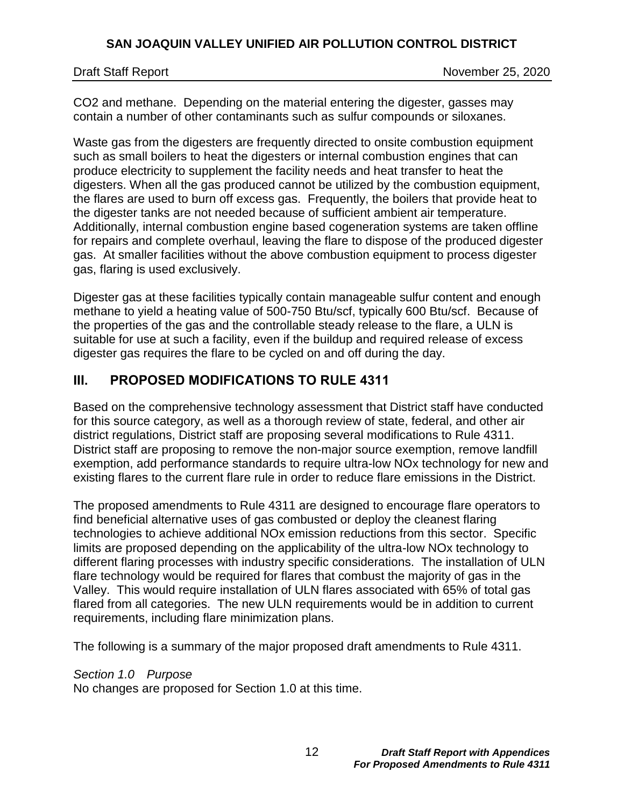CO2 and methane. Depending on the material entering the digester, gasses may contain a number of other contaminants such as sulfur compounds or siloxanes.

Waste gas from the digesters are frequently directed to onsite combustion equipment such as small boilers to heat the digesters or internal combustion engines that can produce electricity to supplement the facility needs and heat transfer to heat the digesters. When all the gas produced cannot be utilized by the combustion equipment, the flares are used to burn off excess gas. Frequently, the boilers that provide heat to the digester tanks are not needed because of sufficient ambient air temperature. Additionally, internal combustion engine based cogeneration systems are taken offline for repairs and complete overhaul, leaving the flare to dispose of the produced digester gas. At smaller facilities without the above combustion equipment to process digester gas, flaring is used exclusively.

Digester gas at these facilities typically contain manageable sulfur content and enough methane to yield a heating value of 500-750 Btu/scf, typically 600 Btu/scf. Because of the properties of the gas and the controllable steady release to the flare, a ULN is suitable for use at such a facility, even if the buildup and required release of excess digester gas requires the flare to be cycled on and off during the day.

# <span id="page-11-0"></span>**III. PROPOSED MODIFICATIONS TO RULE 4311**

Based on the comprehensive technology assessment that District staff have conducted for this source category, as well as a thorough review of state, federal, and other air district regulations, District staff are proposing several modifications to Rule 4311. District staff are proposing to remove the non-major source exemption, remove landfill exemption, add performance standards to require ultra-low NOx technology for new and existing flares to the current flare rule in order to reduce flare emissions in the District.

The proposed amendments to Rule 4311 are designed to encourage flare operators to find beneficial alternative uses of gas combusted or deploy the cleanest flaring technologies to achieve additional NOx emission reductions from this sector. Specific limits are proposed depending on the applicability of the ultra-low NOx technology to different flaring processes with industry specific considerations. The installation of ULN flare technology would be required for flares that combust the majority of gas in the Valley. This would require installation of ULN flares associated with 65% of total gas flared from all categories. The new ULN requirements would be in addition to current requirements, including flare minimization plans.

The following is a summary of the major proposed draft amendments to Rule 4311.

*Section 1.0 Purpose*

No changes are proposed for Section 1.0 at this time.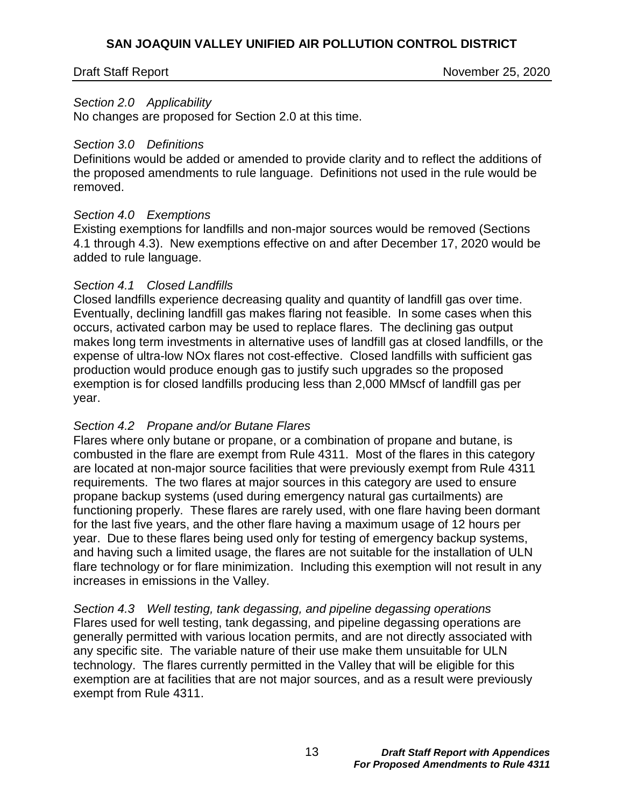Draft Staff Report November 25, 2020

#### *Section 2.0 Applicability*

No changes are proposed for Section 2.0 at this time.

#### *Section 3.0 Definitions*

Definitions would be added or amended to provide clarity and to reflect the additions of the proposed amendments to rule language. Definitions not used in the rule would be removed.

#### *Section 4.0 Exemptions*

Existing exemptions for landfills and non-major sources would be removed (Sections 4.1 through 4.3). New exemptions effective on and after December 17, 2020 would be added to rule language.

#### *Section 4.1 Closed Landfills*

Closed landfills experience decreasing quality and quantity of landfill gas over time. Eventually, declining landfill gas makes flaring not feasible. In some cases when this occurs, activated carbon may be used to replace flares. The declining gas output makes long term investments in alternative uses of landfill gas at closed landfills, or the expense of ultra-low NOx flares not cost-effective. Closed landfills with sufficient gas production would produce enough gas to justify such upgrades so the proposed exemption is for closed landfills producing less than 2,000 MMscf of landfill gas per year.

### *Section 4.2 Propane and/or Butane Flares*

Flares where only butane or propane, or a combination of propane and butane, is combusted in the flare are exempt from Rule 4311. Most of the flares in this category are located at non-major source facilities that were previously exempt from Rule 4311 requirements. The two flares at major sources in this category are used to ensure propane backup systems (used during emergency natural gas curtailments) are functioning properly. These flares are rarely used, with one flare having been dormant for the last five years, and the other flare having a maximum usage of 12 hours per year. Due to these flares being used only for testing of emergency backup systems, and having such a limited usage, the flares are not suitable for the installation of ULN flare technology or for flare minimization. Including this exemption will not result in any increases in emissions in the Valley.

*Section 4.3 Well testing, tank degassing, and pipeline degassing operations* Flares used for well testing, tank degassing, and pipeline degassing operations are generally permitted with various location permits, and are not directly associated with any specific site. The variable nature of their use make them unsuitable for ULN technology. The flares currently permitted in the Valley that will be eligible for this exemption are at facilities that are not major sources, and as a result were previously exempt from Rule 4311.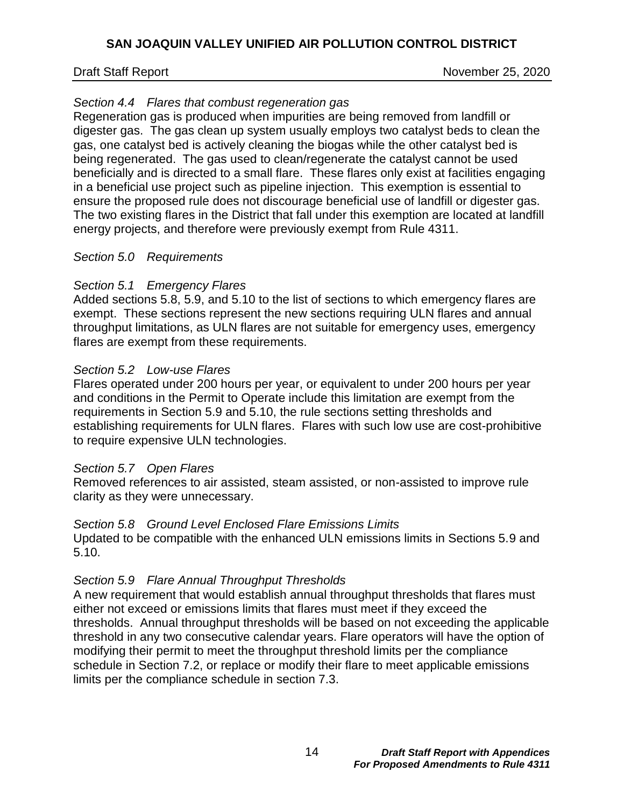Draft Staff Report November 25, 2020

## *Section 4.4 Flares that combust regeneration gas*

Regeneration gas is produced when impurities are being removed from landfill or digester gas. The gas clean up system usually employs two catalyst beds to clean the gas, one catalyst bed is actively cleaning the biogas while the other catalyst bed is being regenerated. The gas used to clean/regenerate the catalyst cannot be used beneficially and is directed to a small flare. These flares only exist at facilities engaging in a beneficial use project such as pipeline injection. This exemption is essential to ensure the proposed rule does not discourage beneficial use of landfill or digester gas. The two existing flares in the District that fall under this exemption are located at landfill energy projects, and therefore were previously exempt from Rule 4311.

### *Section 5.0 Requirements*

### *Section 5.1 Emergency Flares*

Added sections 5.8, 5.9, and 5.10 to the list of sections to which emergency flares are exempt. These sections represent the new sections requiring ULN flares and annual throughput limitations, as ULN flares are not suitable for emergency uses, emergency flares are exempt from these requirements.

### *Section 5.2 Low-use Flares*

Flares operated under 200 hours per year, or equivalent to under 200 hours per year and conditions in the Permit to Operate include this limitation are exempt from the requirements in Section 5.9 and 5.10, the rule sections setting thresholds and establishing requirements for ULN flares. Flares with such low use are cost-prohibitive to require expensive ULN technologies.

### *Section 5.7 Open Flares*

Removed references to air assisted, steam assisted, or non-assisted to improve rule clarity as they were unnecessary.

### *Section 5.8 Ground Level Enclosed Flare Emissions Limits*

Updated to be compatible with the enhanced ULN emissions limits in Sections 5.9 and 5.10.

## *Section 5.9 Flare Annual Throughput Thresholds*

A new requirement that would establish annual throughput thresholds that flares must either not exceed or emissions limits that flares must meet if they exceed the thresholds. Annual throughput thresholds will be based on not exceeding the applicable threshold in any two consecutive calendar years. Flare operators will have the option of modifying their permit to meet the throughput threshold limits per the compliance schedule in Section 7.2, or replace or modify their flare to meet applicable emissions limits per the compliance schedule in section 7.3.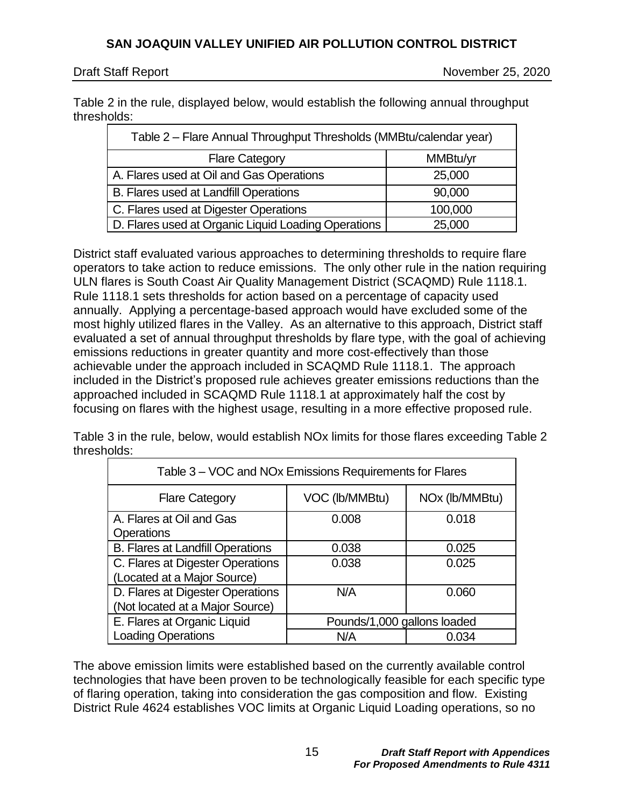Draft Staff Report November 25, 2020

Table 2 in the rule, displayed below, would establish the following annual throughput thresholds:

| Table 2 - Flare Annual Throughput Thresholds (MMBtu/calendar year) |          |
|--------------------------------------------------------------------|----------|
| <b>Flare Category</b>                                              | MMBtu/yr |
| A. Flares used at Oil and Gas Operations                           | 25,000   |
| B. Flares used at Landfill Operations                              | 90,000   |
| C. Flares used at Digester Operations                              | 100,000  |
| D. Flares used at Organic Liquid Loading Operations                | 25,000   |

District staff evaluated various approaches to determining thresholds to require flare operators to take action to reduce emissions. The only other rule in the nation requiring ULN flares is South Coast Air Quality Management District (SCAQMD) Rule 1118.1. Rule 1118.1 sets thresholds for action based on a percentage of capacity used annually. Applying a percentage-based approach would have excluded some of the most highly utilized flares in the Valley. As an alternative to this approach, District staff evaluated a set of annual throughput thresholds by flare type, with the goal of achieving emissions reductions in greater quantity and more cost-effectively than those achievable under the approach included in SCAQMD Rule 1118.1. The approach included in the District's proposed rule achieves greater emissions reductions than the approached included in SCAQMD Rule 1118.1 at approximately half the cost by focusing on flares with the highest usage, resulting in a more effective proposed rule.

Table 3 in the rule, below, would establish NOx limits for those flares exceeding Table 2 thresholds:

| Table 3 – VOC and NOx Emissions Requirements for Flares             |                             |                            |
|---------------------------------------------------------------------|-----------------------------|----------------------------|
| <b>Flare Category</b>                                               | VOC (lb/MMBtu)              | NO <sub>x</sub> (lb/MMBtu) |
| A. Flares at Oil and Gas<br><b>Operations</b>                       | 0.008                       | 0.018                      |
| <b>B. Flares at Landfill Operations</b>                             | 0.038                       | 0.025                      |
| C. Flares at Digester Operations<br>(Located at a Major Source)     | 0.038                       | 0.025                      |
| D. Flares at Digester Operations<br>(Not located at a Major Source) | N/A                         | 0.060                      |
| E. Flares at Organic Liquid                                         | Pounds/1,000 gallons loaded |                            |
| <b>Loading Operations</b>                                           | N/A                         | 0.034                      |

The above emission limits were established based on the currently available control technologies that have been proven to be technologically feasible for each specific type of flaring operation, taking into consideration the gas composition and flow. Existing District Rule 4624 establishes VOC limits at Organic Liquid Loading operations, so no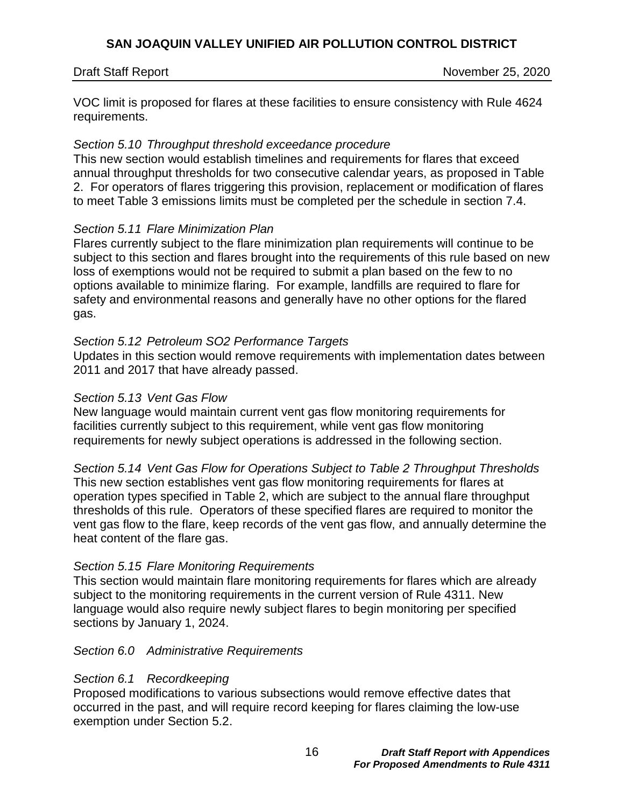Draft Staff Report November 25, 2020

VOC limit is proposed for flares at these facilities to ensure consistency with Rule 4624 requirements.

### *Section 5.10 Throughput threshold exceedance procedure*

This new section would establish timelines and requirements for flares that exceed annual throughput thresholds for two consecutive calendar years, as proposed in Table 2. For operators of flares triggering this provision, replacement or modification of flares to meet Table 3 emissions limits must be completed per the schedule in section 7.4.

### *Section 5.11 Flare Minimization Plan*

Flares currently subject to the flare minimization plan requirements will continue to be subject to this section and flares brought into the requirements of this rule based on new loss of exemptions would not be required to submit a plan based on the few to no options available to minimize flaring. For example, landfills are required to flare for safety and environmental reasons and generally have no other options for the flared gas.

### *Section 5.12 Petroleum SO2 Performance Targets*

Updates in this section would remove requirements with implementation dates between 2011 and 2017 that have already passed.

### *Section 5.13 Vent Gas Flow*

New language would maintain current vent gas flow monitoring requirements for facilities currently subject to this requirement, while vent gas flow monitoring requirements for newly subject operations is addressed in the following section.

*Section 5.14 Vent Gas Flow for Operations Subject to Table 2 Throughput Thresholds* This new section establishes vent gas flow monitoring requirements for flares at operation types specified in Table 2, which are subject to the annual flare throughput thresholds of this rule. Operators of these specified flares are required to monitor the vent gas flow to the flare, keep records of the vent gas flow, and annually determine the heat content of the flare gas.

## *Section 5.15 Flare Monitoring Requirements*

This section would maintain flare monitoring requirements for flares which are already subject to the monitoring requirements in the current version of Rule 4311. New language would also require newly subject flares to begin monitoring per specified sections by January 1, 2024.

### *Section 6.0 Administrative Requirements*

## *Section 6.1 Recordkeeping*

Proposed modifications to various subsections would remove effective dates that occurred in the past, and will require record keeping for flares claiming the low-use exemption under Section 5.2.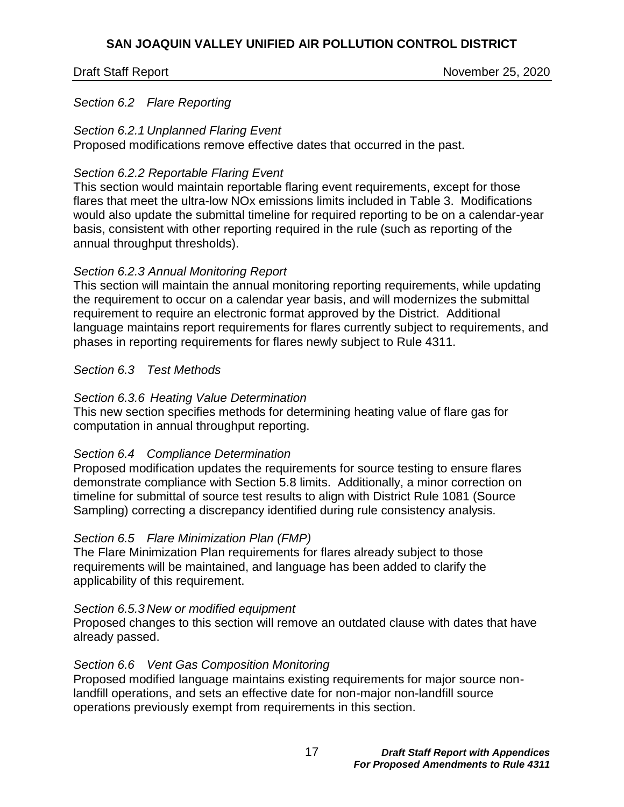Draft Staff Report November 25, 2020

#### *Section 6.2 Flare Reporting*

#### *Section 6.2.1 Unplanned Flaring Event*

Proposed modifications remove effective dates that occurred in the past.

#### *Section 6.2.2 Reportable Flaring Event*

This section would maintain reportable flaring event requirements, except for those flares that meet the ultra-low NOx emissions limits included in Table 3. Modifications would also update the submittal timeline for required reporting to be on a calendar-year basis, consistent with other reporting required in the rule (such as reporting of the annual throughput thresholds).

### *Section 6.2.3 Annual Monitoring Report*

This section will maintain the annual monitoring reporting requirements, while updating the requirement to occur on a calendar year basis, and will modernizes the submittal requirement to require an electronic format approved by the District. Additional language maintains report requirements for flares currently subject to requirements, and phases in reporting requirements for flares newly subject to Rule 4311.

### *Section 6.3 Test Methods*

### *Section 6.3.6 Heating Value Determination*

This new section specifies methods for determining heating value of flare gas for computation in annual throughput reporting.

### *Section 6.4 Compliance Determination*

Proposed modification updates the requirements for source testing to ensure flares demonstrate compliance with Section 5.8 limits. Additionally, a minor correction on timeline for submittal of source test results to align with District Rule 1081 (Source Sampling) correcting a discrepancy identified during rule consistency analysis.

### *Section 6.5 Flare Minimization Plan (FMP)*

The Flare Minimization Plan requirements for flares already subject to those requirements will be maintained, and language has been added to clarify the applicability of this requirement.

### *Section 6.5.3 New or modified equipment*

Proposed changes to this section will remove an outdated clause with dates that have already passed.

### *Section 6.6 Vent Gas Composition Monitoring*

Proposed modified language maintains existing requirements for major source nonlandfill operations, and sets an effective date for non-major non-landfill source operations previously exempt from requirements in this section.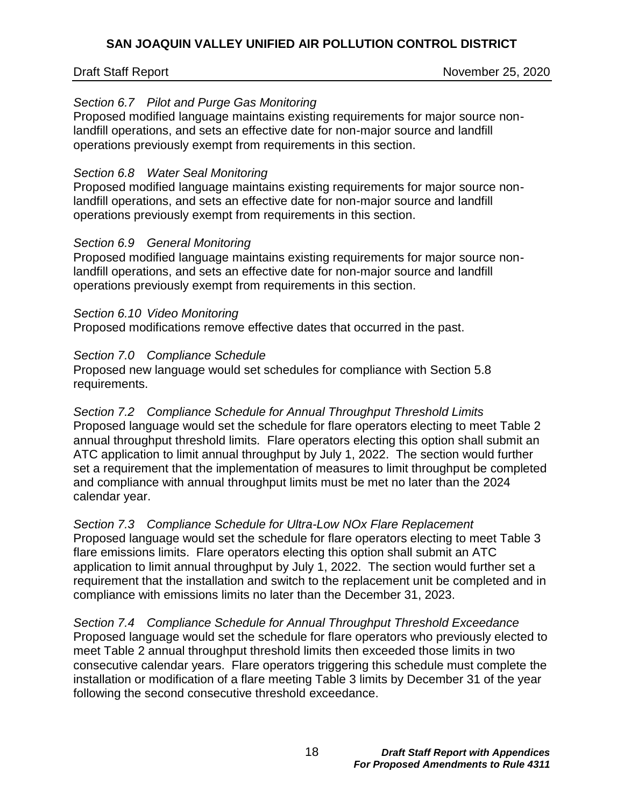Draft Staff Report November 25, 2020

## *Section 6.7 Pilot and Purge Gas Monitoring*

Proposed modified language maintains existing requirements for major source nonlandfill operations, and sets an effective date for non-major source and landfill operations previously exempt from requirements in this section.

### *Section 6.8 Water Seal Monitoring*

Proposed modified language maintains existing requirements for major source nonlandfill operations, and sets an effective date for non-major source and landfill operations previously exempt from requirements in this section.

### *Section 6.9 General Monitoring*

Proposed modified language maintains existing requirements for major source nonlandfill operations, and sets an effective date for non-major source and landfill operations previously exempt from requirements in this section.

### *Section 6.10 Video Monitoring*

Proposed modifications remove effective dates that occurred in the past.

## *Section 7.0 Compliance Schedule*

Proposed new language would set schedules for compliance with Section 5.8 requirements.

*Section 7.2 Compliance Schedule for Annual Throughput Threshold Limits* Proposed language would set the schedule for flare operators electing to meet Table 2 annual throughput threshold limits. Flare operators electing this option shall submit an ATC application to limit annual throughput by July 1, 2022. The section would further set a requirement that the implementation of measures to limit throughput be completed and compliance with annual throughput limits must be met no later than the 2024 calendar year.

*Section 7.3 Compliance Schedule for Ultra-Low NOx Flare Replacement* Proposed language would set the schedule for flare operators electing to meet Table 3 flare emissions limits. Flare operators electing this option shall submit an ATC application to limit annual throughput by July 1, 2022. The section would further set a requirement that the installation and switch to the replacement unit be completed and in compliance with emissions limits no later than the December 31, 2023.

*Section 7.4 Compliance Schedule for Annual Throughput Threshold Exceedance* Proposed language would set the schedule for flare operators who previously elected to meet Table 2 annual throughput threshold limits then exceeded those limits in two consecutive calendar years. Flare operators triggering this schedule must complete the installation or modification of a flare meeting Table 3 limits by December 31 of the year following the second consecutive threshold exceedance.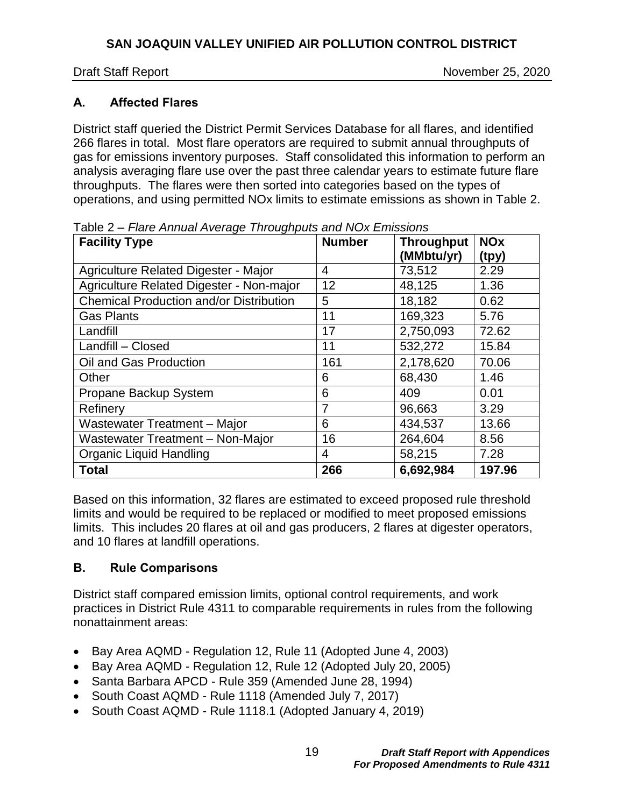Draft Staff Report November 25, 2020

# <span id="page-18-0"></span>**A. Affected Flares**

District staff queried the District Permit Services Database for all flares, and identified 266 flares in total. Most flare operators are required to submit annual throughputs of gas for emissions inventory purposes. Staff consolidated this information to perform an analysis averaging flare use over the past three calendar years to estimate future flare throughputs. The flares were then sorted into categories based on the types of operations, and using permitted NOx limits to estimate emissions as shown in [Table](#page-18-2) 2.

| <b>Facility Type</b>                           | <b>Number</b>  | <b>Throughput</b><br>(MMbtu/yr) | <b>NO<sub>x</sub></b><br>(tpy) |
|------------------------------------------------|----------------|---------------------------------|--------------------------------|
| Agriculture Related Digester - Major           | 4              | 73,512                          | 2.29                           |
| Agriculture Related Digester - Non-major       | 12             | 48,125                          | 1.36                           |
| <b>Chemical Production and/or Distribution</b> | 5              | 18,182                          | 0.62                           |
| <b>Gas Plants</b>                              | 11             | 169,323                         | 5.76                           |
| Landfill                                       | 17             | 2,750,093                       | 72.62                          |
| Landfill - Closed                              | 11             | 532,272                         | 15.84                          |
| Oil and Gas Production                         | 161            | 2,178,620                       | 70.06                          |
| Other                                          | 6              | 68,430                          | 1.46                           |
| Propane Backup System                          | 6              | 409                             | 0.01                           |
| Refinery                                       | 7              | 96,663                          | 3.29                           |
| Wastewater Treatment - Major                   | 6              | 434,537                         | 13.66                          |
| Wastewater Treatment - Non-Major               | 16             | 264,604                         | 8.56                           |
| <b>Organic Liquid Handling</b>                 | $\overline{4}$ | 58,215                          | 7.28                           |
| <b>Total</b>                                   | 266            | 6,692,984                       | 197.96                         |

<span id="page-18-2"></span>Table 2 *– Flare Annual Average Throughputs and NOx Emissions*

Based on this information, 32 flares are estimated to exceed proposed rule threshold limits and would be required to be replaced or modified to meet proposed emissions limits. This includes 20 flares at oil and gas producers, 2 flares at digester operators, and 10 flares at landfill operations.

# <span id="page-18-1"></span>**B. Rule Comparisons**

District staff compared emission limits, optional control requirements, and work practices in District Rule 4311 to comparable requirements in rules from the following nonattainment areas:

- Bay Area AQMD Regulation 12, Rule 11 (Adopted June 4, 2003)
- Bay Area AQMD Regulation 12, Rule 12 (Adopted July 20, 2005)
- Santa Barbara APCD Rule 359 (Amended June 28, 1994)
- South Coast AQMD Rule 1118 (Amended July 7, 2017)
- South Coast AQMD Rule 1118.1 (Adopted January 4, 2019)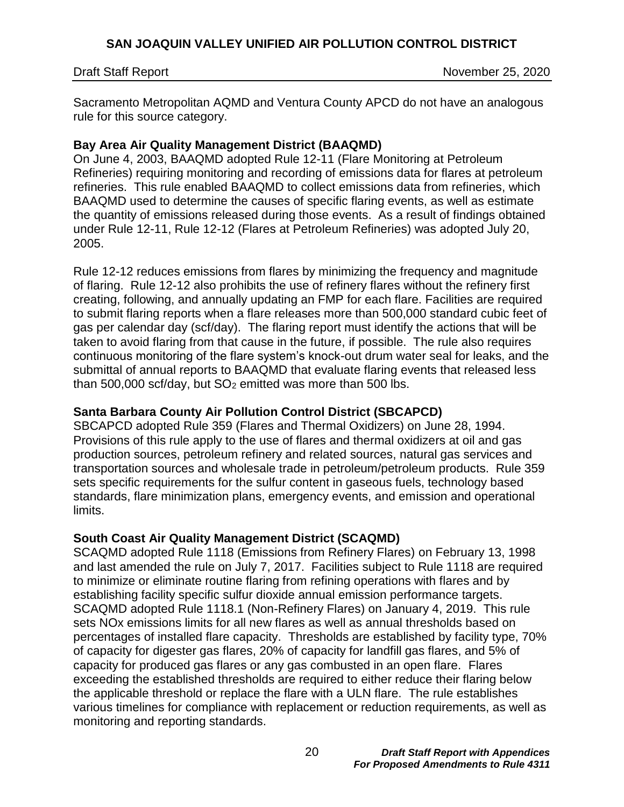Draft Staff Report November 25, 2020

Sacramento Metropolitan AQMD and Ventura County APCD do not have an analogous rule for this source category.

## **Bay Area Air Quality Management District (BAAQMD)**

On June 4, 2003, BAAQMD adopted Rule 12-11 (Flare Monitoring at Petroleum Refineries) requiring monitoring and recording of emissions data for flares at petroleum refineries. This rule enabled BAAQMD to collect emissions data from refineries, which BAAQMD used to determine the causes of specific flaring events, as well as estimate the quantity of emissions released during those events. As a result of findings obtained under Rule 12-11, Rule 12-12 (Flares at Petroleum Refineries) was adopted July 20, 2005.

Rule 12-12 reduces emissions from flares by minimizing the frequency and magnitude of flaring. Rule 12-12 also prohibits the use of refinery flares without the refinery first creating, following, and annually updating an FMP for each flare. Facilities are required to submit flaring reports when a flare releases more than 500,000 standard cubic feet of gas per calendar day (scf/day). The flaring report must identify the actions that will be taken to avoid flaring from that cause in the future, if possible. The rule also requires continuous monitoring of the flare system's knock-out drum water seal for leaks, and the submittal of annual reports to BAAQMD that evaluate flaring events that released less than  $500,000$  scf/day, but  $SO<sub>2</sub>$  emitted was more than  $500$  lbs.

# **Santa Barbara County Air Pollution Control District (SBCAPCD)**

SBCAPCD adopted Rule 359 (Flares and Thermal Oxidizers) on June 28, 1994. Provisions of this rule apply to the use of flares and thermal oxidizers at oil and gas production sources, petroleum refinery and related sources, natural gas services and transportation sources and wholesale trade in petroleum/petroleum products. Rule 359 sets specific requirements for the sulfur content in gaseous fuels, technology based standards, flare minimization plans, emergency events, and emission and operational limits.

## **South Coast Air Quality Management District (SCAQMD)**

SCAQMD adopted Rule 1118 (Emissions from Refinery Flares) on February 13, 1998 and last amended the rule on July 7, 2017. Facilities subject to Rule 1118 are required to minimize or eliminate routine flaring from refining operations with flares and by establishing facility specific sulfur dioxide annual emission performance targets. SCAQMD adopted Rule 1118.1 (Non-Refinery Flares) on January 4, 2019. This rule sets NOx emissions limits for all new flares as well as annual thresholds based on percentages of installed flare capacity. Thresholds are established by facility type, 70% of capacity for digester gas flares, 20% of capacity for landfill gas flares, and 5% of capacity for produced gas flares or any gas combusted in an open flare. Flares exceeding the established thresholds are required to either reduce their flaring below the applicable threshold or replace the flare with a ULN flare. The rule establishes various timelines for compliance with replacement or reduction requirements, as well as monitoring and reporting standards.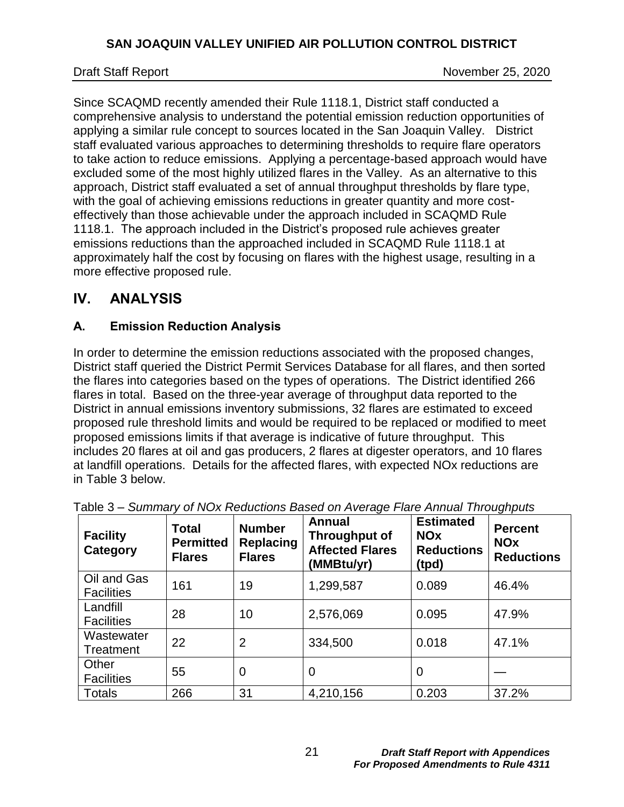Draft Staff Report November 25, 2020

Since SCAQMD recently amended their Rule 1118.1, District staff conducted a comprehensive analysis to understand the potential emission reduction opportunities of applying a similar rule concept to sources located in the San Joaquin Valley. District staff evaluated various approaches to determining thresholds to require flare operators to take action to reduce emissions. Applying a percentage-based approach would have excluded some of the most highly utilized flares in the Valley. As an alternative to this approach, District staff evaluated a set of annual throughput thresholds by flare type, with the goal of achieving emissions reductions in greater quantity and more costeffectively than those achievable under the approach included in SCAQMD Rule 1118.1. The approach included in the District's proposed rule achieves greater emissions reductions than the approached included in SCAQMD Rule 1118.1 at approximately half the cost by focusing on flares with the highest usage, resulting in a more effective proposed rule.

# <span id="page-20-0"></span>**IV. ANALYSIS**

# <span id="page-20-1"></span>**A. Emission Reduction Analysis**

In order to determine the emission reductions associated with the proposed changes, District staff queried the District Permit Services Database for all flares, and then sorted the flares into categories based on the types of operations. The District identified 266 flares in total. Based on the three-year average of throughput data reported to the District in annual emissions inventory submissions, 32 flares are estimated to exceed proposed rule threshold limits and would be required to be replaced or modified to meet proposed emissions limits if that average is indicative of future throughput. This includes 20 flares at oil and gas producers, 2 flares at digester operators, and 10 flares at landfill operations. Details for the affected flares, with expected NOx reductions are in [Table](#page-20-2) 3 below.

| <b>Facility</b><br>Category      | Total<br><b>Permitted</b><br><b>Flares</b> | <b>Number</b><br><b>Replacing</b><br><b>Flares</b> | <b>Annual</b><br>Throughput of<br><b>Affected Flares</b><br>(MMBtu/yr) | <b>Estimated</b><br><b>NOx</b><br><b>Reductions</b><br>(tpd) | <b>Percent</b><br><b>NOx</b><br><b>Reductions</b> |
|----------------------------------|--------------------------------------------|----------------------------------------------------|------------------------------------------------------------------------|--------------------------------------------------------------|---------------------------------------------------|
| Oil and Gas<br><b>Facilities</b> | 161                                        | 19                                                 | 1,299,587                                                              | 0.089                                                        | 46.4%                                             |
| Landfill<br><b>Facilities</b>    | 28                                         | 10                                                 | 2,576,069                                                              | 0.095                                                        | 47.9%                                             |
| Wastewater<br>Treatment          | 22                                         | $\overline{2}$                                     | 334,500                                                                | 0.018                                                        | 47.1%                                             |
| Other<br><b>Facilities</b>       | 55                                         | 0                                                  | 0                                                                      | 0                                                            |                                                   |
| Totals                           | 266                                        | 31                                                 | 4,210,156                                                              | 0.203                                                        | 37.2%                                             |

<span id="page-20-2"></span>

|--|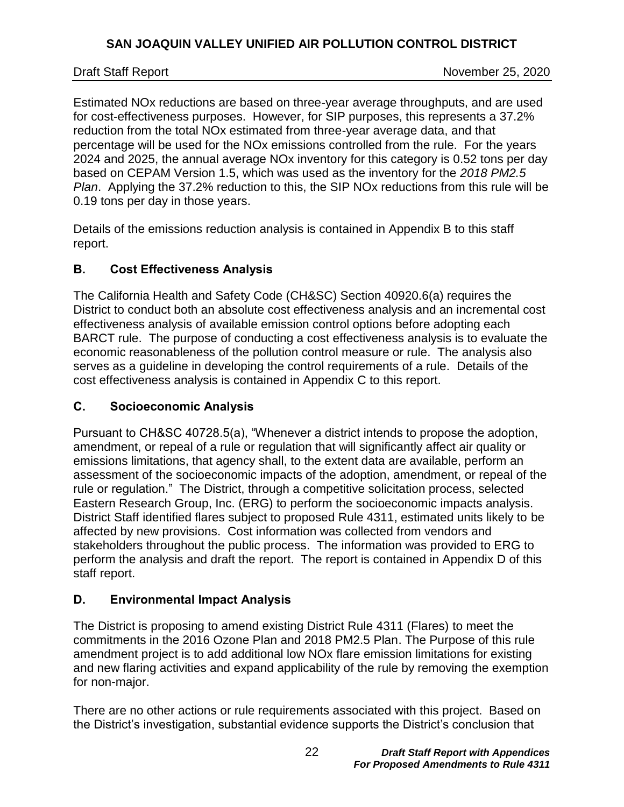Draft Staff Report November 25, 2020

Estimated NOx reductions are based on three-year average throughputs, and are used for cost-effectiveness purposes. However, for SIP purposes, this represents a 37.2% reduction from the total NOx estimated from three-year average data, and that percentage will be used for the NOx emissions controlled from the rule. For the years 2024 and 2025, the annual average NOx inventory for this category is 0.52 tons per day based on CEPAM Version 1.5, which was used as the inventory for the *2018 PM2.5 Plan*. Applying the 37.2% reduction to this, the SIP NOx reductions from this rule will be 0.19 tons per day in those years.

Details of the emissions reduction analysis is contained in Appendix B to this staff report.

## <span id="page-21-0"></span>**B. Cost Effectiveness Analysis**

The California Health and Safety Code (CH&SC) Section 40920.6(a) requires the District to conduct both an absolute cost effectiveness analysis and an incremental cost effectiveness analysis of available emission control options before adopting each BARCT rule. The purpose of conducting a cost effectiveness analysis is to evaluate the economic reasonableness of the pollution control measure or rule. The analysis also serves as a guideline in developing the control requirements of a rule. Details of the cost effectiveness analysis is contained in Appendix C to this report.

## <span id="page-21-1"></span>**C. Socioeconomic Analysis**

Pursuant to CH&SC 40728.5(a), "Whenever a district intends to propose the adoption, amendment, or repeal of a rule or regulation that will significantly affect air quality or emissions limitations, that agency shall, to the extent data are available, perform an assessment of the socioeconomic impacts of the adoption, amendment, or repeal of the rule or regulation." The District, through a competitive solicitation process, selected Eastern Research Group, Inc. (ERG) to perform the socioeconomic impacts analysis. District Staff identified flares subject to proposed Rule 4311, estimated units likely to be affected by new provisions. Cost information was collected from vendors and stakeholders throughout the public process. The information was provided to ERG to perform the analysis and draft the report. The report is contained in Appendix D of this staff report.

## <span id="page-21-2"></span>**D. Environmental Impact Analysis**

The District is proposing to amend existing District Rule 4311 (Flares) to meet the commitments in the 2016 Ozone Plan and 2018 PM2.5 Plan. The Purpose of this rule amendment project is to add additional low NOx flare emission limitations for existing and new flaring activities and expand applicability of the rule by removing the exemption for non-major.

There are no other actions or rule requirements associated with this project. Based on the District's investigation, substantial evidence supports the District's conclusion that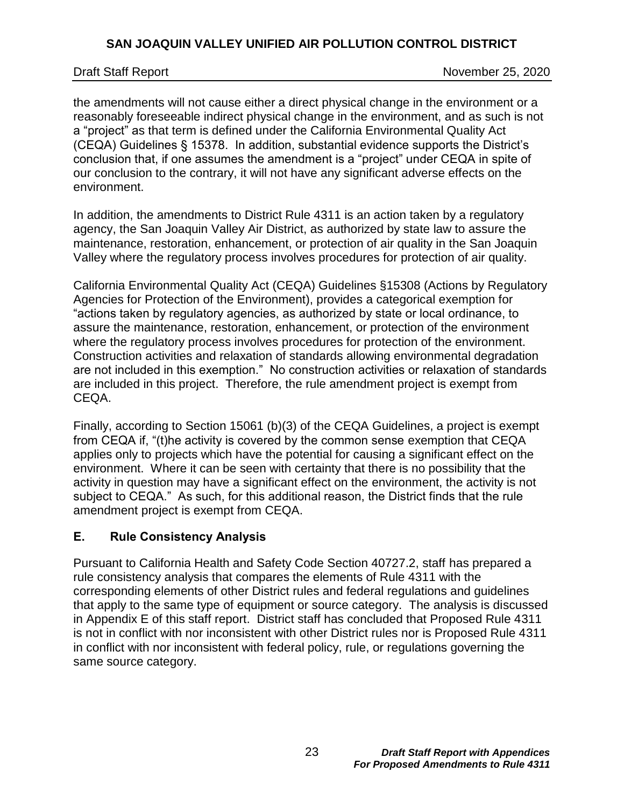the amendments will not cause either a direct physical change in the environment or a reasonably foreseeable indirect physical change in the environment, and as such is not a "project" as that term is defined under the California Environmental Quality Act (CEQA) Guidelines § 15378. In addition, substantial evidence supports the District's conclusion that, if one assumes the amendment is a "project" under CEQA in spite of our conclusion to the contrary, it will not have any significant adverse effects on the environment.

In addition, the amendments to District Rule 4311 is an action taken by a regulatory agency, the San Joaquin Valley Air District, as authorized by state law to assure the maintenance, restoration, enhancement, or protection of air quality in the San Joaquin Valley where the regulatory process involves procedures for protection of air quality.

California Environmental Quality Act (CEQA) Guidelines §15308 (Actions by Regulatory Agencies for Protection of the Environment), provides a categorical exemption for "actions taken by regulatory agencies, as authorized by state or local ordinance, to assure the maintenance, restoration, enhancement, or protection of the environment where the regulatory process involves procedures for protection of the environment. Construction activities and relaxation of standards allowing environmental degradation are not included in this exemption." No construction activities or relaxation of standards are included in this project. Therefore, the rule amendment project is exempt from CEQA.

Finally, according to Section 15061 (b)(3) of the CEQA Guidelines, a project is exempt from CEQA if, "(t)he activity is covered by the common sense exemption that CEQA applies only to projects which have the potential for causing a significant effect on the environment. Where it can be seen with certainty that there is no possibility that the activity in question may have a significant effect on the environment, the activity is not subject to CEQA." As such, for this additional reason, the District finds that the rule amendment project is exempt from CEQA.

## <span id="page-22-0"></span>**E. Rule Consistency Analysis**

Pursuant to California Health and Safety Code Section 40727.2, staff has prepared a rule consistency analysis that compares the elements of Rule 4311 with the corresponding elements of other District rules and federal regulations and guidelines that apply to the same type of equipment or source category. The analysis is discussed in Appendix E of this staff report. District staff has concluded that Proposed Rule 4311 is not in conflict with nor inconsistent with other District rules nor is Proposed Rule 4311 in conflict with nor inconsistent with federal policy, rule, or regulations governing the same source category.